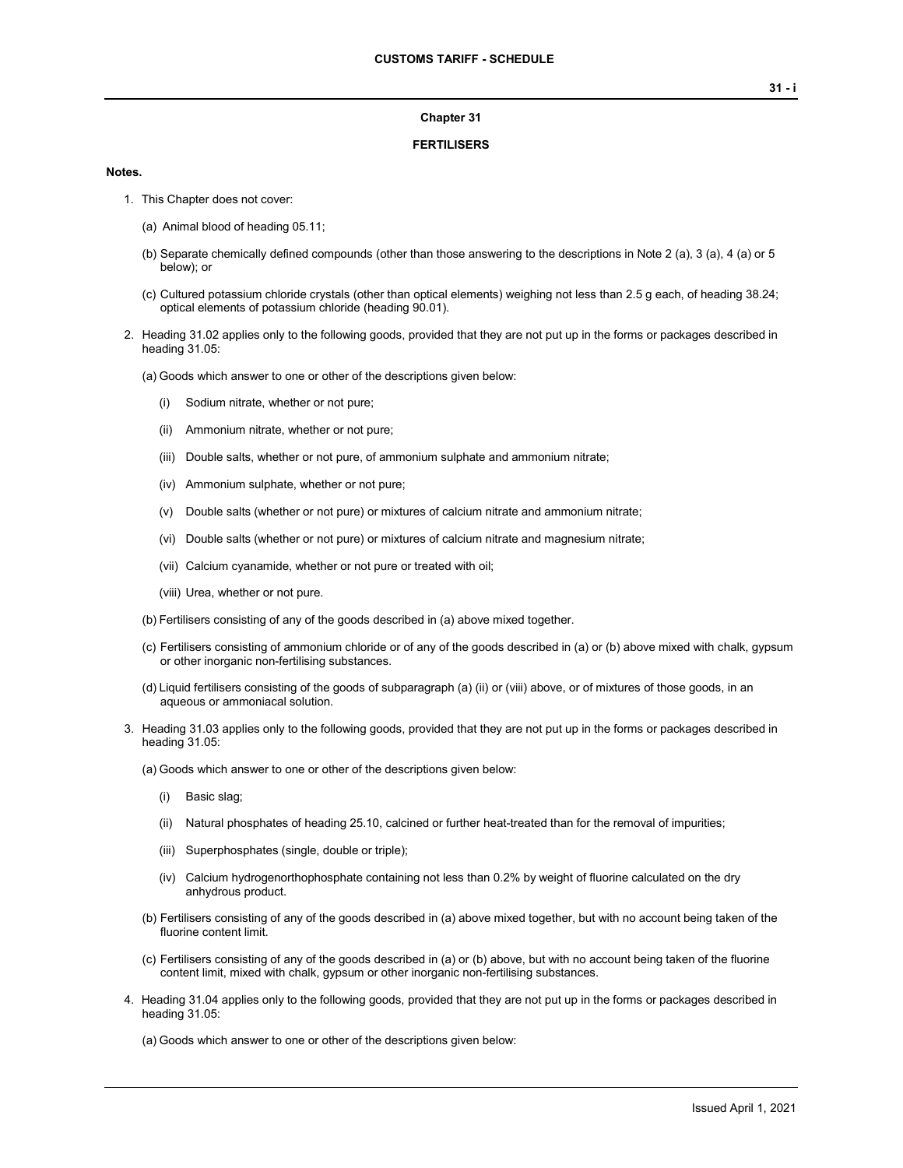### **Chapter 31**

### **FERTILISERS**

### **Notes.**

- 1. This Chapter does not cover:
	- (a) Animal blood of heading 05.11;
	- (b) Separate chemically defined compounds (other than those answering to the descriptions in Note 2 (a), 3 (a), 4 (a) or 5 below); or
	- (c) Cultured potassium chloride crystals (other than optical elements) weighing not less than 2.5 g each, of heading 38.24; optical elements of potassium chloride (heading 90.01).
- 2. Heading 31.02 applies only to the following goods, provided that they are not put up in the forms or packages described in heading 31.05:
	- (a) Goods which answer to one or other of the descriptions given below:
		- (i) Sodium nitrate, whether or not pure;
		- (ii) Ammonium nitrate, whether or not pure;
		- (iii) Double salts, whether or not pure, of ammonium sulphate and ammonium nitrate;
		- (iv) Ammonium sulphate, whether or not pure;
		- (v) Double salts (whether or not pure) or mixtures of calcium nitrate and ammonium nitrate;
		- (vi) Double salts (whether or not pure) or mixtures of calcium nitrate and magnesium nitrate;
		- (vii) Calcium cyanamide, whether or not pure or treated with oil;
		- (viii) Urea, whether or not pure.
	- (b) Fertilisers consisting of any of the goods described in (a) above mixed together.
	- (c) Fertilisers consisting of ammonium chloride or of any of the goods described in (a) or (b) above mixed with chalk, gypsum or other inorganic non-fertilising substances.
	- (d) Liquid fertilisers consisting of the goods of subparagraph (a) (ii) or (viii) above, or of mixtures of those goods, in an aqueous or ammoniacal solution.
- 3. Heading 31.03 applies only to the following goods, provided that they are not put up in the forms or packages described in heading 31.05:
	- (a) Goods which answer to one or other of the descriptions given below:
		- (i) Basic slag;
		- (ii) Natural phosphates of heading 25.10, calcined or further heat-treated than for the removal of impurities;
		- (iii) Superphosphates (single, double or triple);
		- (iv) Calcium hydrogenorthophosphate containing not less than 0.2% by weight of fluorine calculated on the dry anhydrous product.
	- (b) Fertilisers consisting of any of the goods described in (a) above mixed together, but with no account being taken of the fluorine content limit.
	- (c) Fertilisers consisting of any of the goods described in (a) or (b) above, but with no account being taken of the fluorine content limit, mixed with chalk, gypsum or other inorganic non-fertilising substances.
- 4. Heading 31.04 applies only to the following goods, provided that they are not put up in the forms or packages described in heading 31.05:
	- (a) Goods which answer to one or other of the descriptions given below: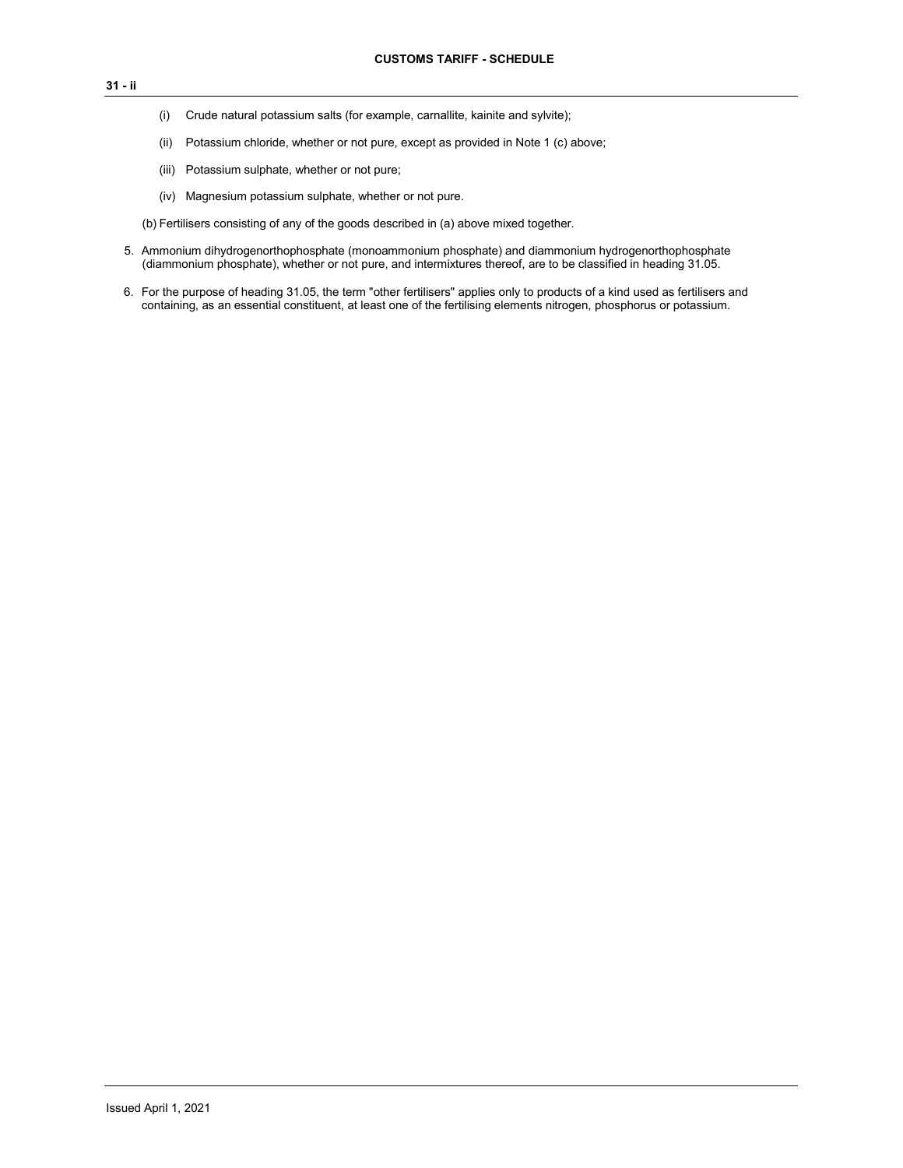- (i) Crude natural potassium salts (for example, carnallite, kainite and sylvite);
- (ii) Potassium chloride, whether or not pure, except as provided in Note 1 (c) above;
- (iii) Potassium sulphate, whether or not pure;
- (iv) Magnesium potassium sulphate, whether or not pure.

(b) Fertilisers consisting of any of the goods described in (a) above mixed together.

- 5. Ammonium dihydrogenorthophosphate (monoammonium phosphate) and diammonium hydrogenorthophosphate (diammonium phosphate), whether or not pure, and intermixtures thereof, are to be classified in heading 31.05.
- 6. For the purpose of heading 31.05, the term "other fertilisers" applies only to products of a kind used as fertilisers and containing, as an essential constituent, at least one of the fertilising elements nitrogen, phosphorus or potassium.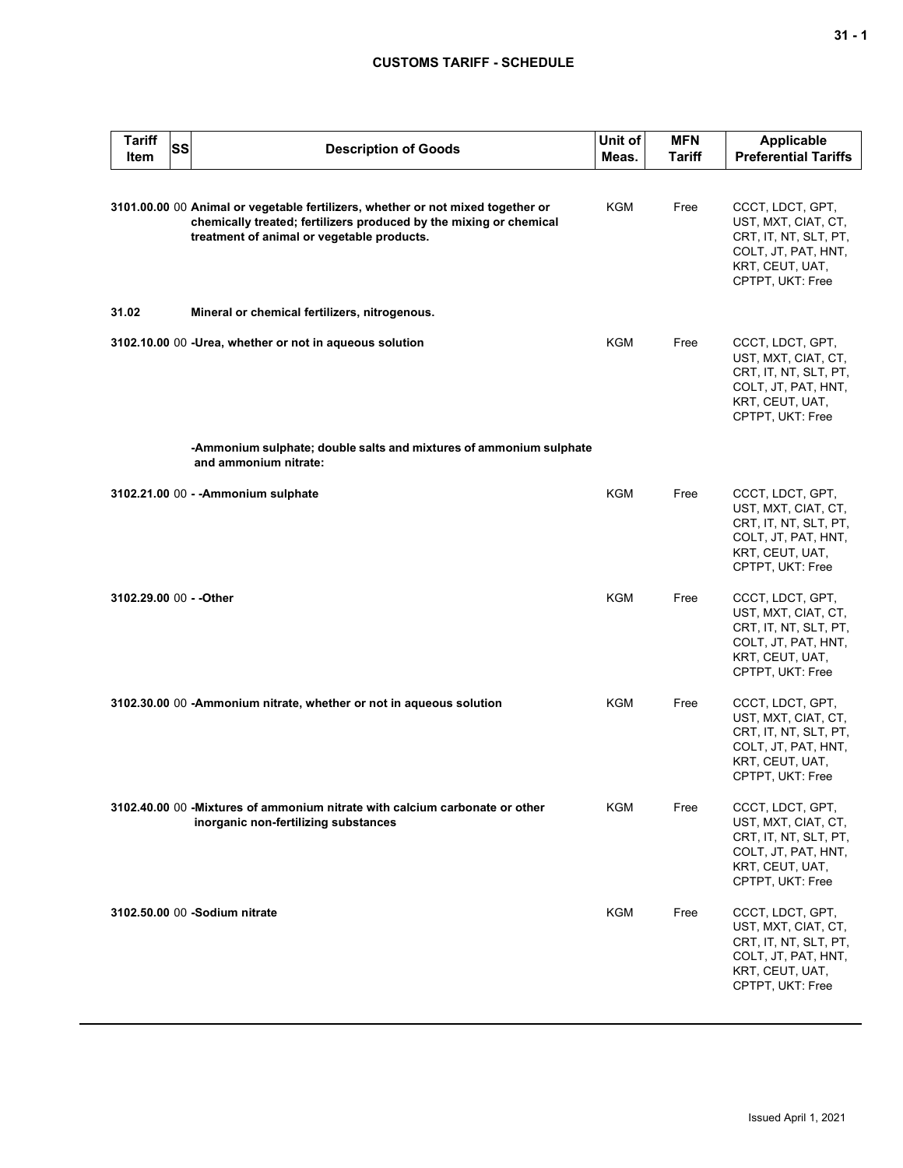# **CUSTOMS TARIFF - SCHEDULE**

| <b>Tariff</b><br><b>SS</b><br>Item | <b>Description of Goods</b>                                                                                                                                                                         | Unit of<br>Meas. | <b>MFN</b><br>Tariff | Applicable<br><b>Preferential Tariffs</b>                                                                                      |
|------------------------------------|-----------------------------------------------------------------------------------------------------------------------------------------------------------------------------------------------------|------------------|----------------------|--------------------------------------------------------------------------------------------------------------------------------|
|                                    | 3101.00.00 00 Animal or vegetable fertilizers, whether or not mixed together or<br>chemically treated; fertilizers produced by the mixing or chemical<br>treatment of animal or vegetable products. | KGM              | Free                 | CCCT, LDCT, GPT,<br>UST, MXT, CIAT, CT,<br>CRT, IT, NT, SLT, PT,<br>COLT, JT, PAT, HNT,<br>KRT, CEUT, UAT,<br>CPTPT, UKT: Free |
| 31.02                              | Mineral or chemical fertilizers, nitrogenous.                                                                                                                                                       |                  |                      |                                                                                                                                |
|                                    | 3102.10.00 00 -Urea, whether or not in aqueous solution                                                                                                                                             | <b>KGM</b>       | Free                 | CCCT, LDCT, GPT,<br>UST, MXT, CIAT, CT,<br>CRT, IT, NT, SLT, PT,<br>COLT, JT, PAT, HNT,<br>KRT, CEUT, UAT,<br>CPTPT, UKT: Free |
|                                    | -Ammonium sulphate; double salts and mixtures of ammonium sulphate<br>and ammonium nitrate:                                                                                                         |                  |                      |                                                                                                                                |
|                                    | 3102.21.00 00 - - Ammonium sulphate                                                                                                                                                                 | <b>KGM</b>       | Free                 | CCCT, LDCT, GPT,<br>UST, MXT, CIAT, CT,<br>CRT, IT, NT, SLT, PT,<br>COLT, JT, PAT, HNT,<br>KRT, CEUT, UAT,<br>CPTPT, UKT: Free |
| 3102.29.00 00 - - Other            |                                                                                                                                                                                                     | <b>KGM</b>       | Free                 | CCCT, LDCT, GPT,<br>UST, MXT, CIAT, CT,<br>CRT, IT, NT, SLT, PT,<br>COLT, JT, PAT, HNT,<br>KRT, CEUT, UAT,<br>CPTPT, UKT: Free |
|                                    | 3102.30.00 00 -Ammonium nitrate, whether or not in aqueous solution                                                                                                                                 | KGM              | Free                 | CCCT, LDCT, GPT,<br>UST, MXT, CIAT, CT,<br>CRT, IT, NT, SLT, PT,<br>COLT, JT, PAT, HNT,<br>KRT, CEUT, UAT,<br>CPTPT, UKT: Free |
|                                    | 3102.40.00 00 - Mixtures of ammonium nitrate with calcium carbonate or other<br>inorganic non-fertilizing substances                                                                                | KGM              | Free                 | CCCT, LDCT, GPT,<br>UST, MXT, CIAT, CT,<br>CRT, IT, NT, SLT, PT,<br>COLT, JT, PAT, HNT,<br>KRT, CEUT, UAT,<br>CPTPT, UKT: Free |
|                                    | 3102.50.00 00 -Sodium nitrate                                                                                                                                                                       | <b>KGM</b>       | Free                 | CCCT, LDCT, GPT,<br>UST, MXT, CIAT, CT,<br>CRT, IT, NT, SLT, PT,<br>COLT, JT, PAT, HNT,<br>KRT, CEUT, UAT,<br>CPTPT, UKT: Free |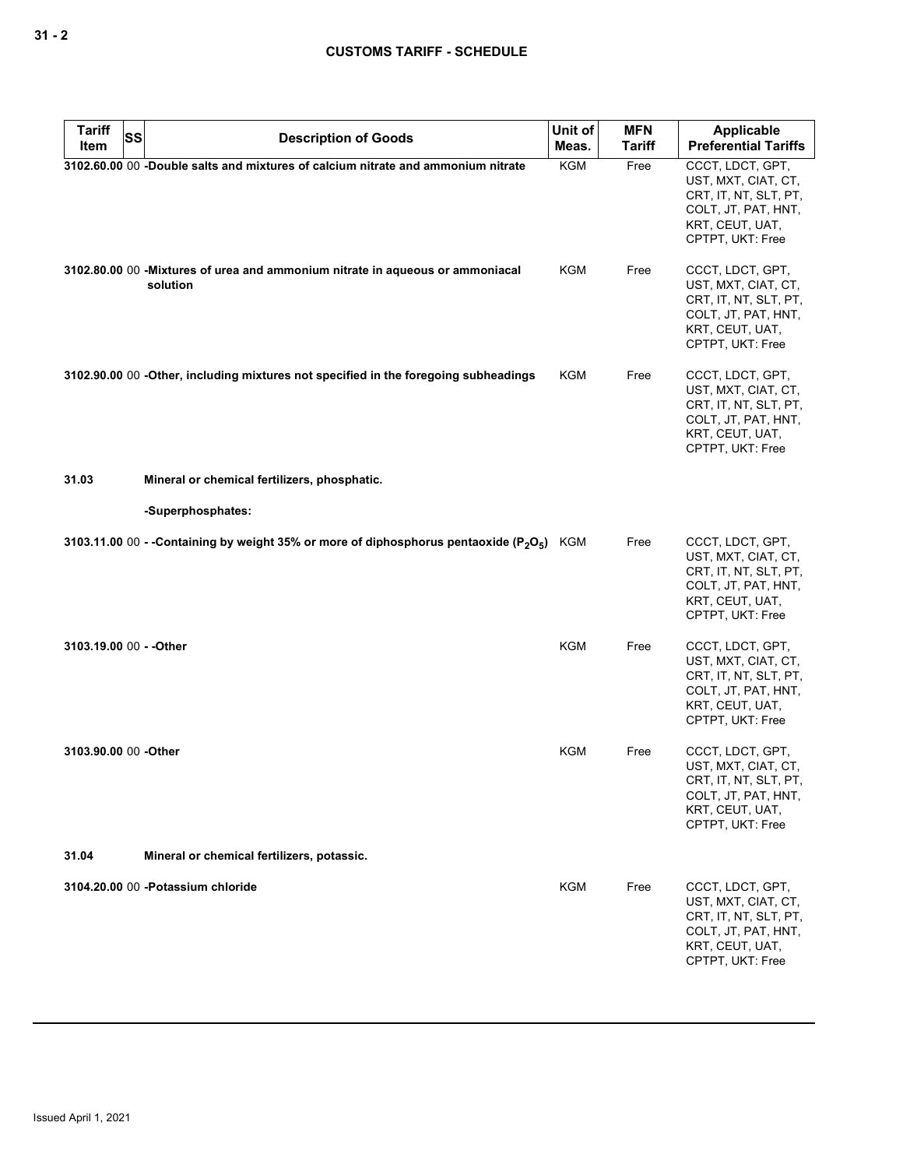| <b>Tariff</b>           | SS<br><b>Description of Goods</b>                                                         | Unit of    | <b>MFN</b>    | <b>Applicable</b>                                                                                                              |
|-------------------------|-------------------------------------------------------------------------------------------|------------|---------------|--------------------------------------------------------------------------------------------------------------------------------|
| Item                    |                                                                                           | Meas.      | <b>Tariff</b> | <b>Preferential Tariffs</b>                                                                                                    |
|                         | 3102.60.00 00 -Double salts and mixtures of calcium nitrate and ammonium nitrate          | KGM        | Free          | CCCT, LDCT, GPT,<br>UST, MXT, CIAT, CT,<br>CRT, IT, NT, SLT, PT,<br>COLT, JT, PAT, HNT,<br>KRT, CEUT, UAT,<br>CPTPT, UKT: Free |
|                         | 3102.80.00 00 -Mixtures of urea and ammonium nitrate in aqueous or ammoniacal<br>solution | <b>KGM</b> | Free          | CCCT, LDCT, GPT,<br>UST, MXT, CIAT, CT,<br>CRT, IT, NT, SLT, PT,<br>COLT, JT, PAT, HNT,<br>KRT, CEUT, UAT,<br>CPTPT, UKT: Free |
|                         | 3102.90.00 00 -Other, including mixtures not specified in the foregoing subheadings       | KGM        | Free          | CCCT, LDCT, GPT,<br>UST, MXT, CIAT, CT,<br>CRT, IT, NT, SLT, PT,<br>COLT, JT, PAT, HNT,<br>KRT, CEUT, UAT,<br>CPTPT, UKT: Free |
| 31.03                   | Mineral or chemical fertilizers, phosphatic.                                              |            |               |                                                                                                                                |
|                         | -Superphosphates:                                                                         |            |               |                                                                                                                                |
|                         | 3103.11.00 00 - -Containing by weight 35% or more of diphosphorus pentaoxide ( $P_2O_5$ ) | KGM        | Free          | CCCT, LDCT, GPT,<br>UST, MXT, CIAT, CT,<br>CRT, IT, NT, SLT, PT,<br>COLT, JT, PAT, HNT,<br>KRT, CEUT, UAT,<br>CPTPT, UKT: Free |
| 3103.19.00 00 - - Other |                                                                                           | <b>KGM</b> | Free          | CCCT, LDCT, GPT,<br>UST, MXT, CIAT, CT,<br>CRT, IT, NT, SLT, PT,<br>COLT, JT, PAT, HNT,<br>KRT, CEUT, UAT,<br>CPTPT, UKT: Free |
| 3103.90.00 00 -Other    |                                                                                           | KGM        | Free          | CCCT, LDCT, GPT,<br>UST, MXT, CIAT, CT,<br>CRT, IT, NT, SLT, PT,<br>COLT, JT, PAT, HNT,<br>KRT, CEUT, UAT,<br>CPTPT, UKT: Free |
| 31.04                   | Mineral or chemical fertilizers, potassic.                                                |            |               |                                                                                                                                |
|                         | 3104.20.00 00 - Potassium chloride                                                        | <b>KGM</b> | Free          | CCCT, LDCT, GPT,<br>UST, MXT, CIAT, CT,<br>CRT, IT, NT, SLT, PT,<br>COLT, JT, PAT, HNT,<br>KRT, CEUT, UAT,<br>CPTPT, UKT: Free |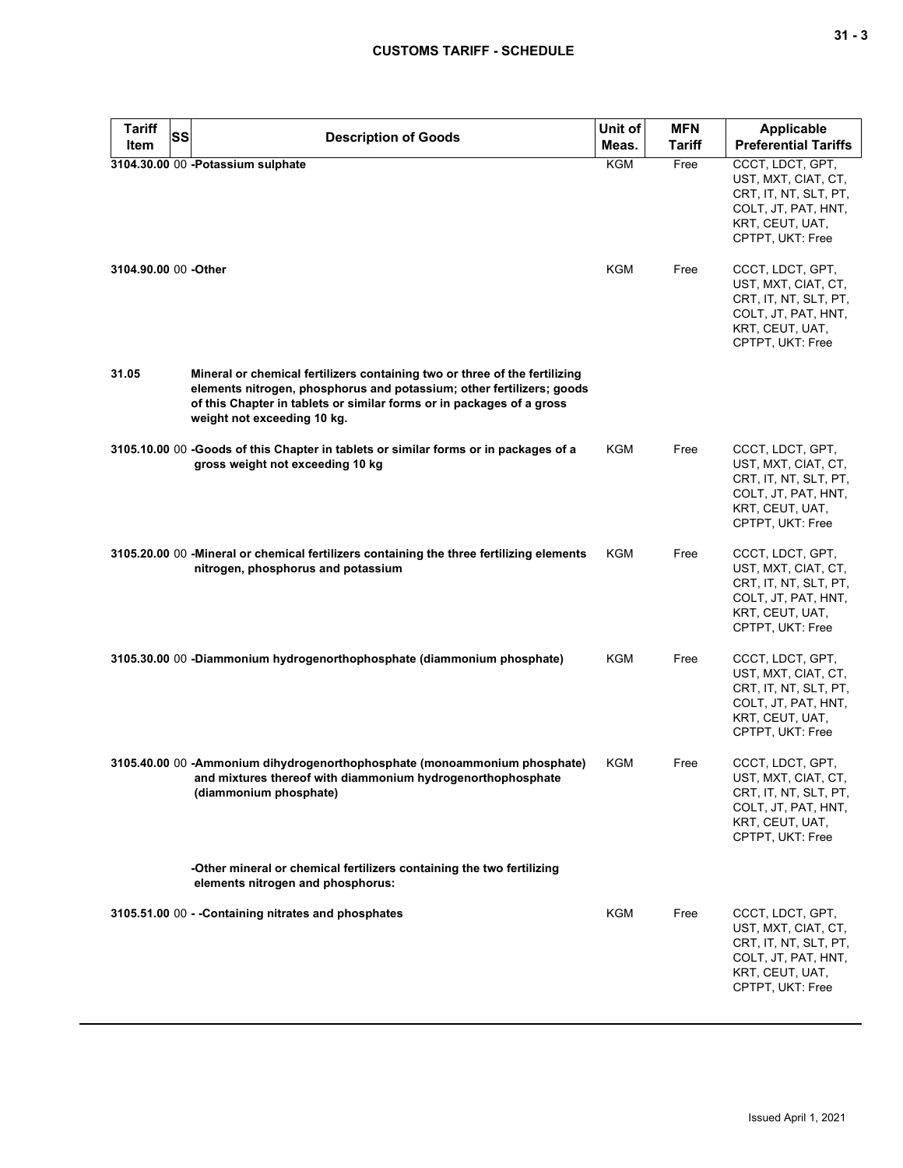| <b>Tariff</b><br>Item | <b>SS</b> | <b>Description of Goods</b>                                                                                                                                                                                                                                 | Unit of<br>Meas. | <b>MFN</b><br>Tariff | <b>Applicable</b><br><b>Preferential Tariffs</b>                                                                               |
|-----------------------|-----------|-------------------------------------------------------------------------------------------------------------------------------------------------------------------------------------------------------------------------------------------------------------|------------------|----------------------|--------------------------------------------------------------------------------------------------------------------------------|
|                       |           | 3104.30.00 00 -Potassium sulphate                                                                                                                                                                                                                           | <b>KGM</b>       | Free                 | CCCT, LDCT, GPT,<br>UST, MXT, CIAT, CT,<br>CRT, IT, NT, SLT, PT,<br>COLT, JT, PAT, HNT,<br>KRT, CEUT, UAT,<br>CPTPT, UKT: Free |
| 3104.90.00 00 - Other |           |                                                                                                                                                                                                                                                             | KGM              | Free                 | CCCT, LDCT, GPT,<br>UST, MXT, CIAT, CT,<br>CRT, IT, NT, SLT, PT,<br>COLT, JT, PAT, HNT,<br>KRT, CEUT, UAT,<br>CPTPT, UKT: Free |
| 31.05                 |           | Mineral or chemical fertilizers containing two or three of the fertilizing<br>elements nitrogen, phosphorus and potassium; other fertilizers; goods<br>of this Chapter in tablets or similar forms or in packages of a gross<br>weight not exceeding 10 kg. |                  |                      |                                                                                                                                |
|                       |           | 3105.10.00 00 -Goods of this Chapter in tablets or similar forms or in packages of a<br>gross weight not exceeding 10 kg                                                                                                                                    | KGM              | Free                 | CCCT, LDCT, GPT,<br>UST, MXT, CIAT, CT,<br>CRT, IT, NT, SLT, PT,<br>COLT, JT, PAT, HNT,<br>KRT, CEUT, UAT,<br>CPTPT, UKT: Free |
|                       |           | 3105.20.00 00 -Mineral or chemical fertilizers containing the three fertilizing elements<br>nitrogen, phosphorus and potassium                                                                                                                              | KGM              | Free                 | CCCT, LDCT, GPT,<br>UST, MXT, CIAT, CT,<br>CRT, IT, NT, SLT, PT,<br>COLT, JT, PAT, HNT,<br>KRT, CEUT, UAT,<br>CPTPT, UKT: Free |
|                       |           | 3105.30.00 00 -Diammonium hydrogenorthophosphate (diammonium phosphate)                                                                                                                                                                                     | KGM              | Free                 | CCCT, LDCT, GPT,<br>UST, MXT, CIAT, CT,<br>CRT, IT, NT, SLT, PT,<br>COLT, JT, PAT, HNT,<br>KRT, CEUT, UAT,<br>CPTPT, UKT: Free |
|                       |           | 3105.40.00 00 -Ammonium dihydrogenorthophosphate (monoammonium phosphate)<br>and mixtures thereof with diammonium hydrogenorthophosphate<br>(diammonium phosphate)                                                                                          | KGM              | Free                 | CCCT, LDCT, GPT,<br>UST, MXT, CIAT, CT,<br>CRT, IT, NT, SLT, PT,<br>COLT, JT, PAT, HNT,<br>KRT, CEUT, UAT,<br>CPTPT, UKT: Free |
|                       |           | -Other mineral or chemical fertilizers containing the two fertilizing<br>elements nitrogen and phosphorus:                                                                                                                                                  |                  |                      |                                                                                                                                |
|                       |           | 3105.51.00 00 - - Containing nitrates and phosphates                                                                                                                                                                                                        | KGM              | Free                 | CCCT, LDCT, GPT,<br>UST, MXT, CIAT, CT,<br>CRT, IT, NT, SLT, PT,<br>COLT, JT, PAT, HNT,<br>KRT, CEUT, UAT,<br>CPTPT, UKT: Free |